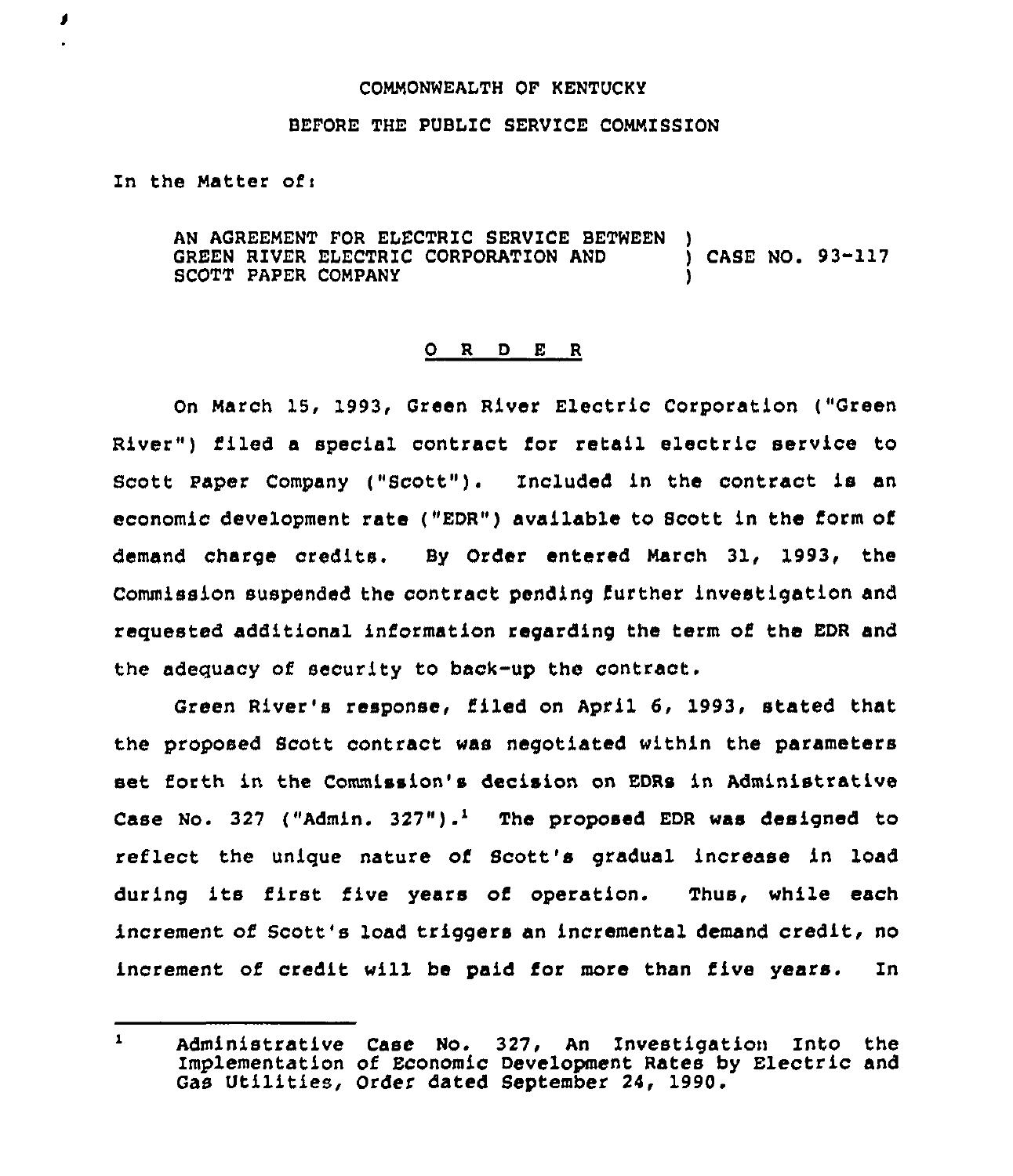## COMMONWEALTH OF KENTUCKY

## BEFORE THE PUBLIC SERVICE COMMISSION

In the Matter of:

J

AN AGREEMENT FOR ELECTRIC SERVICE BETWEEN GREEN RIVER ELECTRIC CORPORATION AND (ASE NO. 93-117) SCOTT PAPER COMPANY

## 0 R <sup>D</sup> E <sup>R</sup>

On March 15, 1993, Green River Electric Corporation ("Green River") filed a special contract for retail electric service to Scott Paper Company ("Scott"). Included in the contract is an economic development rate ("EDR") available to Scott in the form of demand charge credits. By Order entered March 31, 1993, the Commission suspended the contract pending further investigation and requested additional information regarding the term of the EDR and the adeguacy of security to back-up the contract.

Green River's response, filed on April 6, 1993, stated that the proposed Scott contract was negotiated within the parameters set forth in the Commission's decision on EDRs in Administrative Case No. 327 ("Admin. 327").<sup>1</sup> The proposed EDR was designed to reflect the unique nature of Scott's gradual increase in load during its first five years of operation. Thus, while each increment of Scott's load triggers an incremental demand credit, no increment of credit will be paid for more than five years. In

 $\mathbf{1}$ Administrative Case No. 327, An Investigation Into the Implementation of Economic Development Rates by Electric and Gas Utilities, Order dated September 24, 1990.